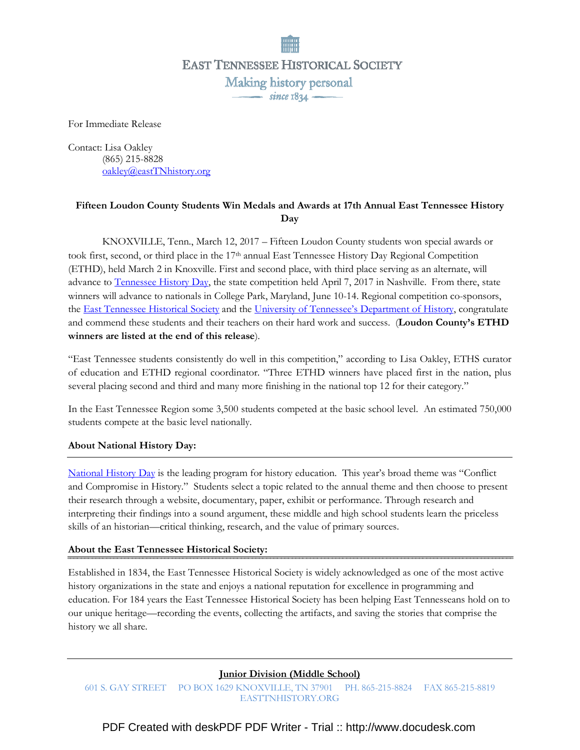**EAST TENNESSEE HISTORICAL SOCIETY** Making history personal  $\frac{1}{\text{since } 1834}$ 

For Immediate Release

Contact: Lisa Oakley (865) 215-8828 oakley@eastTNhistory.org

# Fifteen Loudon County Students Win Medals and Awards at 17th Annual East Tennessee History **Day**

 KNOXVILLE, Tenn., March 12, 2017 – Fifteen Loudon County students won special awards or took first, second, or third place in the 17<sup>th</sup> annual East Tennessee History Day Regional Competition (ETHD), held March 2 in Knoxville. First and second place, with third place serving as an alternate, will advance to Tennessee History Day, the state competition held April 7, 2017 in Nashville. From there, state winners will advance to nationals in College Park, Maryland, June 10-14. Regional competition co-sponsors, the East Tennessee Historical Society and the University of Tennessee's Department of History, congratulate and commend these students and their teachers on their hard work and success. (Loudon County's ETHD winners are listed at the end of this release).

"East Tennessee students consistently do well in this competition," according to Lisa Oakley, ETHS curator of education and ETHD regional coordinator. "Three ETHD winners have placed first in the nation, plus several placing second and third and many more finishing in the national top 12 for their category."

In the East Tennessee Region some 3,500 students competed at the basic school level. An estimated 750,000 students compete at the basic level nationally.

# About National History Day:

National History Day is the leading program for history education. This year's broad theme was "Conflict and Compromise in History." Students select a topic related to the annual theme and then choose to present their research through a website, documentary, paper, exhibit or performance. Through research and interpreting their findings into a sound argument, these middle and high school students learn the priceless skills of an historian—critical thinking, research, and the value of primary sources.

# About the East Tennessee Historical Society:

Established in 1834, the East Tennessee Historical Society is widely acknowledged as one of the most active history organizations in the state and enjoys a national reputation for excellence in programming and education. For 184 years the East Tennessee Historical Society has been helping East Tennesseans hold on to our unique heritage—recording the events, collecting the artifacts, and saving the stories that comprise the history we all share.

# Junior Division (Middle School)

601 S. GAY STREET PO BOX 1629 KNOXVILLE, TN 37901 PH. 865-215-8824 FAX 865-215-8819 EASTTNHISTORY.ORG

[PDF Created with deskPDF PDF Writer - Trial :: http://www.docudesk.com](http://www.docudesk.com)